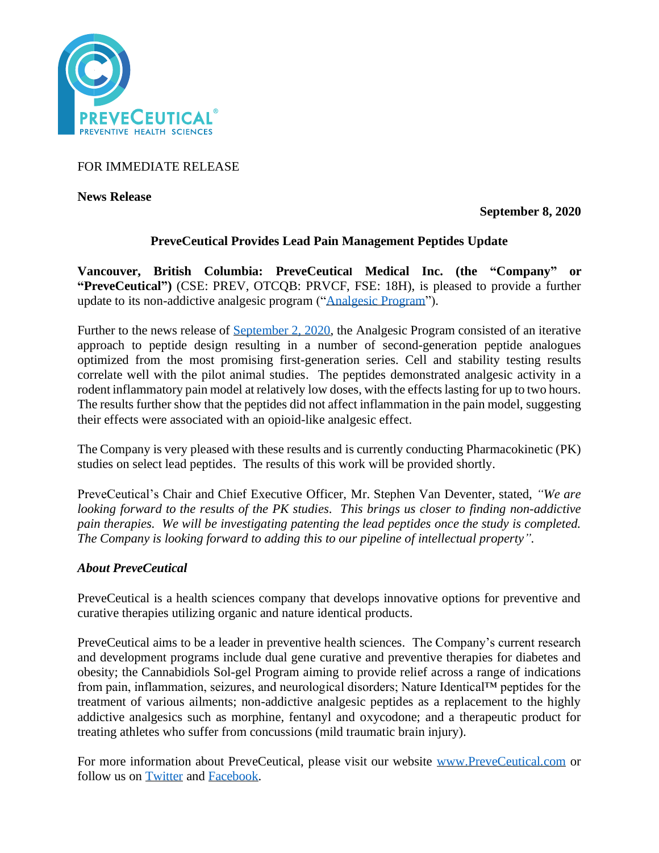

FOR IMMEDIATE RELEASE

**News Release** 

**September 8, 2020**

# **PreveCeutical Provides Lead Pain Management Peptides Update**

**Vancouver, British Columbia: PreveCeutical Medical Inc. (the "Company" or "PreveCeutical")** (CSE: PREV, OTCQB: PRVCF, FSE: 18H), is pleased to provide a further update to its non-addictive analgesic program (["Analgesic Program"](https://www.preveceutical.com/pipeline/non-addictive-analgesic/)).

Further to the news release of [September 2, 2020,](https://www.preveceutical.com/investors/news/preveceutical-announces-lead-pain-management-peptides-identified-for-preclinical-evaluation) the Analgesic Program consisted of an iterative approach to peptide design resulting in a number of second-generation peptide analogues optimized from the most promising first-generation series. Cell and stability testing results correlate well with the pilot animal studies. The peptides demonstrated analgesic activity in a rodent inflammatory pain model at relatively low doses, with the effects lasting for up to two hours. The results further show that the peptides did not affect inflammation in the pain model, suggesting their effects were associated with an opioid-like analgesic effect.

The Company is very pleased with these results and is currently conducting Pharmacokinetic (PK) studies on select lead peptides. The results of this work will be provided shortly.

PreveCeutical's Chair and Chief Executive Officer, Mr. Stephen Van Deventer, stated, *"We are looking forward to the results of the PK studies. This brings us closer to finding non-addictive pain therapies. We will be investigating patenting the lead peptides once the study is completed. The Company is looking forward to adding this to our pipeline of intellectual property".*

# *About PreveCeutical*

PreveCeutical is a health sciences company that develops innovative options for preventive and curative therapies utilizing organic and nature identical products.

PreveCeutical aims to be a leader in preventive health sciences. The Company's current research and development programs include dual gene curative and preventive therapies for diabetes and obesity; the Cannabidiols Sol-gel Program aiming to provide relief across a range of indications from pain, inflammation, seizures, and neurological disorders; Nature Identical™ peptides for the treatment of various ailments; non-addictive analgesic peptides as a replacement to the highly addictive analgesics such as morphine, fentanyl and oxycodone; and a therapeutic product for treating athletes who suffer from concussions (mild traumatic brain injury).

For more information about PreveCeutical, please visit our website [www.PreveCeutical.com](http://www.preveceutical.com/) or follow us on [Twitter](http://twitter.com/PreveCeuticals) and [Facebook.](http://www.facebook.com/PreveCeutical)